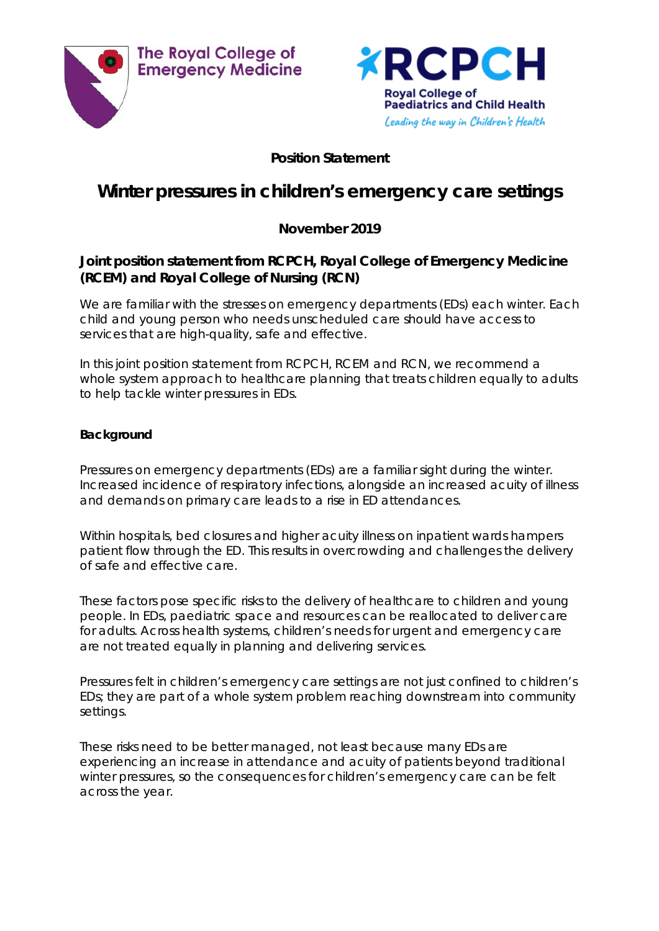



## **Position Statement**

# **Winter pressures in children's emergency care settings**

# **November 2019**

## **Joint position statement from RCPCH, Royal College of Emergency Medicine (RCEM) and Royal College of Nursing (RCN)**

We are familiar with the stresses on emergency departments (EDs) each winter. Each child and young person who needs unscheduled care should have access to services that are high-quality, safe and effective.

In this joint position statement from RCPCH, RCEM and RCN, we recommend a whole system approach to healthcare planning that treats children equally to adults to help tackle winter pressures in EDs.

## **Background**

Pressures on emergency departments (EDs) are a familiar sight during the winter. Increased incidence of respiratory infections, alongside an increased acuity of illness and demands on primary care leads to a rise in ED attendances.

Within hospitals, bed closures and higher acuity illness on inpatient wards hampers patient flow through the ED. This results in overcrowding and challenges the delivery of safe and effective care.

These factors pose specific risks to the delivery of healthcare to children and young people. In EDs, paediatric space and resources can be reallocated to deliver care for adults. Across health systems, children's needs for urgent and emergency care are not treated equally in planning and delivering services.

Pressures felt in children's emergency care settings are not just confined to children's EDs; they are part of a whole system problem reaching downstream into community settings.

These risks need to be better managed, not least because many EDs are experiencing an increase in attendance and acuity of patients beyond traditional winter pressures, so the consequences for children's emergency care can be felt across the year.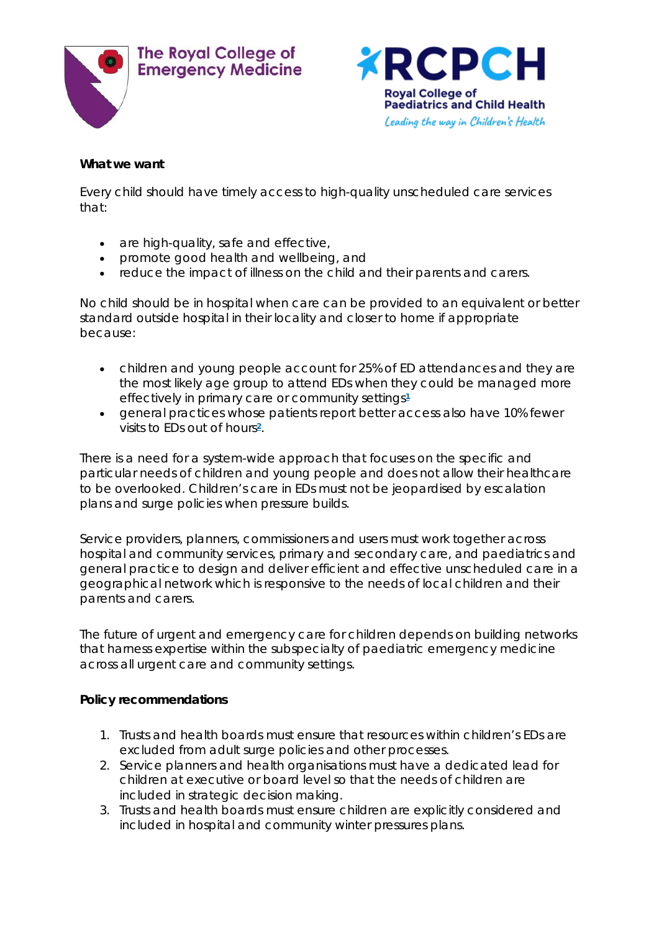



#### **What we want**

Every child should have timely access to high-quality unscheduled care services that:

- are high-quality, safe and effective,
- promote good health and wellbeing, and
- reduce the impact of illness on the child and their parents and carers.

No child should be in hospital when care can be provided to an equivalent or better standard outside hospital in their locality and closer to home if appropriate because:

- children and young people account for 25% of ED attendances and they are the most likely age group to attend EDs when they could be managed more effectively in primary care or community settings**[1](https://www.rcpch.ac.uk/resources/winter-pressures-childrens-emergency-care-settings#footnote1_i2dp43i)**
- general practices whose patients report better access also have 10% fewer visits to EDs out of hour[s](https://www.rcpch.ac.uk/resources/winter-pressures-childrens-emergency-care-settings#footnote2_acbw9pa)**2**.

There is a need for a system-wide approach that focuses on the specific and particular needs of children and young people and does not allow their healthcare to be overlooked. Children's care in EDs must not be jeopardised by escalation plans and surge policies when pressure builds.

Service providers, planners, commissioners and users must work together across hospital and community services, primary and secondary care, and paediatrics and general practice to design and deliver efficient and effective unscheduled care in a geographical network which is responsive to the needs of local children and their parents and carers.

The future of urgent and emergency care for children depends on building networks that harness expertise within the subspecialty of paediatric emergency medicine across all urgent care and community settings.

#### **Policy recommendations**

- 1. Trusts and health boards must ensure that resources within children's EDs are excluded from adult surge policies and other processes.
- 2. Service planners and health organisations must have a dedicated lead for children at executive or board level so that the needs of children are included in strategic decision making.
- 3. Trusts and health boards must ensure children are explicitly considered and included in hospital and community winter pressures plans.